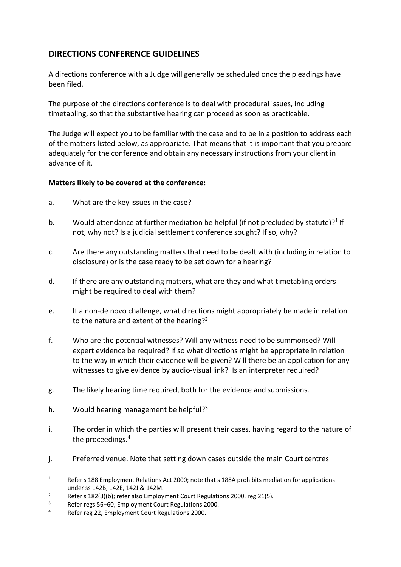## **DIRECTIONS CONFERENCE GUIDELINES**

A directions conference with a Judge will generally be scheduled once the pleadings have been filed.

The purpose of the directions conference is to deal with procedural issues, including timetabling, so that the substantive hearing can proceed as soon as practicable.

The Judge will expect you to be familiar with the case and to be in a position to address each of the matters listed below, as appropriate. That means that it is important that you prepare adequately for the conference and obtain any necessary instructions from your client in advance of it.

## **Matters likely to be covered at the conference:**

- a. What are the key issues in the case?
- b. Would attendance at further mediation be helpful (if not precluded by statute)?<sup>1</sup> If not, why not? Is a judicial settlement conference sought? If so, why?
- c. Are there any outstanding matters that need to be dealt with (including in relation to disclosure) or is the case ready to be set down for a hearing?
- d. If there are any outstanding matters, what are they and what timetabling orders might be required to deal with them?
- e. If a non-de novo challenge, what directions might appropriately be made in relation to the nature and extent of the hearing?<sup>2</sup>
- f. Who are the potential witnesses? Will any witness need to be summonsed? Will expert evidence be required? If so what directions might be appropriate in relation to the way in which their evidence will be given? Will there be an application for any witnesses to give evidence by audio-visual link? Is an interpreter required?
- g. The likely hearing time required, both for the evidence and submissions.
- h. Would hearing management be helpful? $3^3$
- i. The order in which the parties will present their cases, having regard to the nature of the proceedings.<sup>4</sup>
- j. Preferred venue. Note that setting down cases outside the main Court centres

<sup>&</sup>lt;sup>1</sup> Refer s 188 Employment Relations Act 2000; note that s 188A prohibits mediation for applications under ss 142B, 142E, 142J & 142M.

Per s  $182(3)(b)$ ; refer also Employment Court Regulations 2000, reg 21(5).<br>Befer regs 56–60. Employment Court Regulations 2000

 $\frac{3}{10}$  Refer regs 56–60, Employment Court Regulations 2000.

Refer reg 22, Employment Court Regulations 2000.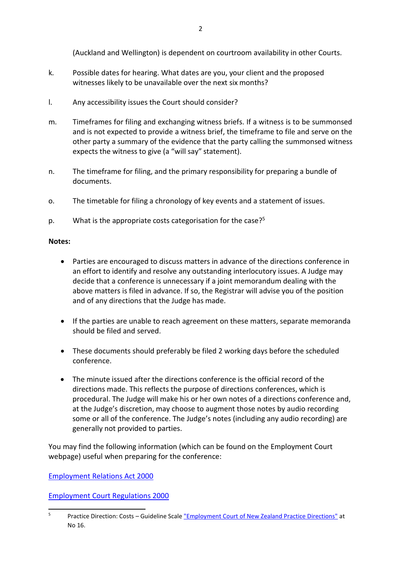(Auckland and Wellington) is dependent on courtroom availability in other Courts.

- k. Possible dates for hearing. What dates are you, your client and the proposed witnesses likely to be unavailable over the next six months?
- l. Any accessibility issues the Court should consider?
- m. Timeframes for filing and exchanging witness briefs. If a witness is to be summonsed and is not expected to provide a witness brief, the timeframe to file and serve on the other party a summary of the evidence that the party calling the summonsed witness expects the witness to give (a "will say" statement).
- n. The timeframe for filing, and the primary responsibility for preparing a bundle of documents.
- o. The timetable for filing a chronology of key events and a statement of issues.
- p. What is the appropriate costs categorisation for the case? $5<sup>5</sup>$

## **Notes:**

- Parties are encouraged to discuss matters in advance of the directions conference in an effort to identify and resolve any outstanding interlocutory issues. A Judge may decide that a conference is unnecessary if a joint memorandum dealing with the above matters is filed in advance. If so, the Registrar will advise you of the position and of any directions that the Judge has made.
- If the parties are unable to reach agreement on these matters, separate memoranda should be filed and served.
- These documents should preferably be filed 2 working days before the scheduled conference.
- The minute issued after the directions conference is the official record of the directions made. This reflects the purpose of directions conferences, which is procedural. The Judge will make his or her own notes of a directions conference and, at the Judge's discretion, may choose to augment those notes by audio recording some or all of the conference. The Judge's notes (including any audio recording) are generally not provided to parties.

You may find the following information (which can be found on the Employment Court webpage) useful when preparing for the conference:

[Employment Relations Act 2000](http://www.legislation.govt.nz/act/public/2000/0024/latest/DLM58317.html?src=qs)

[Employment Court Regulations 2000](http://www.legislation.govt.nz/regulation/public/2000/0250/latest/whole.html%20-%20DLM2034852)

<sup>5</sup> Practice Direction: Costs – Guideline Scale ["Employment Court of New Zealand Practice Directions"](https://www.employmentcourt.govt.nz/legislation-and-rules/) at No 16.